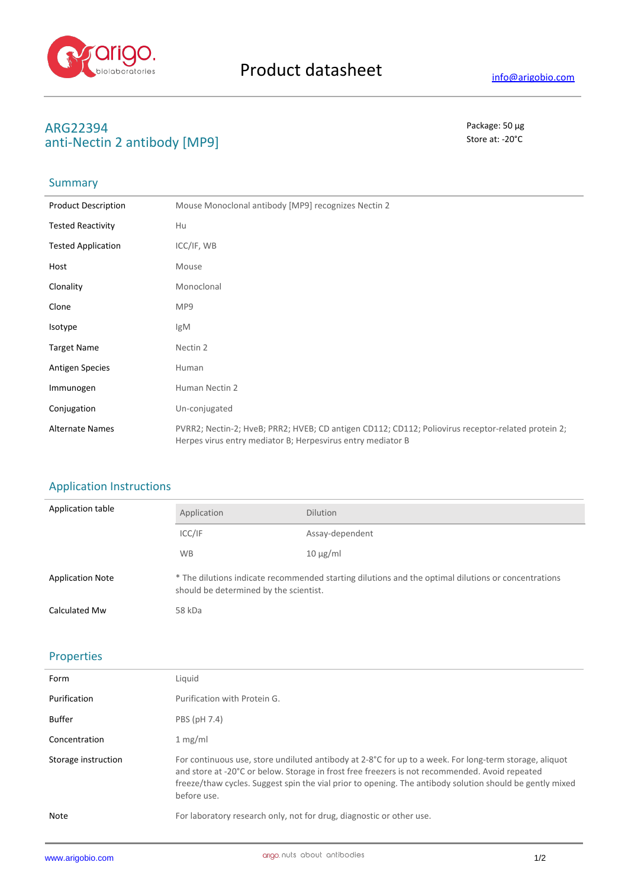

### **ARG22394** Package: 50 μg anti-Nectin 2 antibody [MP9] Store at: -20<sup>°</sup>C

#### **Summary**

| <b>Product Description</b> | Mouse Monoclonal antibody [MP9] recognizes Nectin 2                                                                                                               |
|----------------------------|-------------------------------------------------------------------------------------------------------------------------------------------------------------------|
| <b>Tested Reactivity</b>   | Hu                                                                                                                                                                |
| <b>Tested Application</b>  | ICC/IF, WB                                                                                                                                                        |
| Host                       | Mouse                                                                                                                                                             |
| Clonality                  | Monoclonal                                                                                                                                                        |
| Clone                      | MP9                                                                                                                                                               |
| Isotype                    | IgM                                                                                                                                                               |
| <b>Target Name</b>         | Nectin 2                                                                                                                                                          |
| <b>Antigen Species</b>     | Human                                                                                                                                                             |
| Immunogen                  | Human Nectin 2                                                                                                                                                    |
| Conjugation                | Un-conjugated                                                                                                                                                     |
| <b>Alternate Names</b>     | PVRR2; Nectin-2; HveB; PRR2; HVEB; CD antigen CD112; CD112; Poliovirus receptor-related protein 2;<br>Herpes virus entry mediator B; Herpesvirus entry mediator B |

# Application Instructions

| Application table       | Application                                                                                                                                   | <b>Dilution</b> |
|-------------------------|-----------------------------------------------------------------------------------------------------------------------------------------------|-----------------|
|                         | ICC/IF                                                                                                                                        | Assay-dependent |
|                         | <b>WB</b>                                                                                                                                     | $10 \mu g/ml$   |
| <b>Application Note</b> | * The dilutions indicate recommended starting dilutions and the optimal dilutions or concentrations<br>should be determined by the scientist. |                 |
| Calculated Mw           | 58 kDa                                                                                                                                        |                 |

# Properties

| Form                | Liquid                                                                                                                                                                                                                                                                                                                                         |
|---------------------|------------------------------------------------------------------------------------------------------------------------------------------------------------------------------------------------------------------------------------------------------------------------------------------------------------------------------------------------|
| Purification        | Purification with Protein G.                                                                                                                                                                                                                                                                                                                   |
| Buffer              | PBS (pH 7.4)                                                                                                                                                                                                                                                                                                                                   |
| Concentration       | 1 mg/ml                                                                                                                                                                                                                                                                                                                                        |
| Storage instruction | For continuous use, store undiluted antibody at 2-8 $^{\circ}$ C for up to a week. For long-term storage, aliquot<br>and store at -20°C or below. Storage in frost free freezers is not recommended. Avoid repeated<br>freeze/thaw cycles. Suggest spin the vial prior to opening. The antibody solution should be gently mixed<br>before use. |
| <b>Note</b>         | For laboratory research only, not for drug, diagnostic or other use.                                                                                                                                                                                                                                                                           |